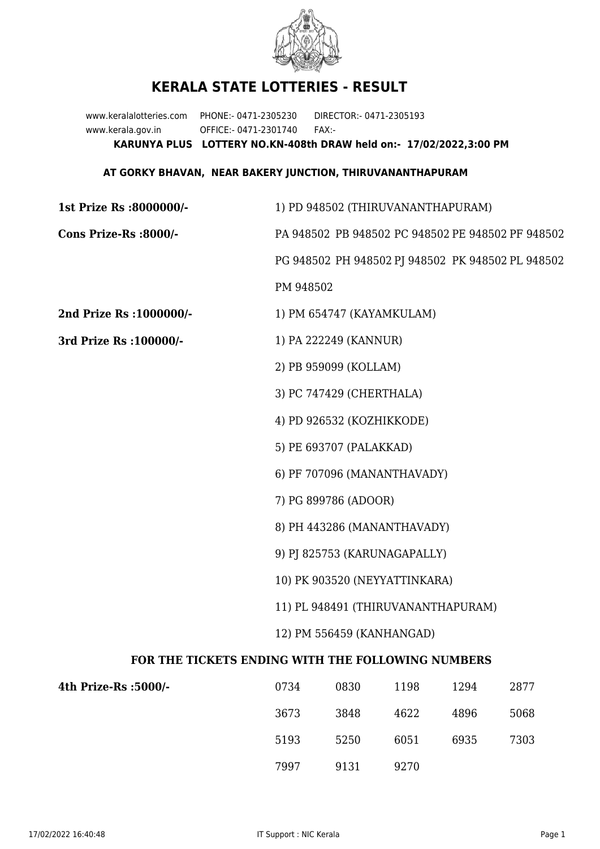

## **KERALA STATE LOTTERIES - RESULT**

www.keralalotteries.com PHONE:- 0471-2305230 DIRECTOR:- 0471-2305193 www.kerala.gov.in OFFICE:- 0471-2301740 FAX:- **KARUNYA PLUS LOTTERY NO.KN-408th DRAW held on:- 17/02/2022,3:00 PM**

## **AT GORKY BHAVAN, NEAR BAKERY JUNCTION, THIRUVANANTHAPURAM**

**1st Prize Rs :8000000/-** 1) PD 948502 (THIRUVANANTHAPURAM) **Cons Prize-Rs :8000/-** PA 948502 PB 948502 PC 948502 PE 948502 PF 948502 PG 948502 PH 948502 PJ 948502 PK 948502 PL 948502 PM 948502 **2nd Prize Rs :1000000/-** 1) PM 654747 (KAYAMKULAM) **3rd Prize Rs :100000/-** 1) PA 222249 (KANNUR) 2) PB 959099 (KOLLAM) 3) PC 747429 (CHERTHALA) 4) PD 926532 (KOZHIKKODE) 5) PE 693707 (PALAKKAD) 6) PF 707096 (MANANTHAVADY) 7) PG 899786 (ADOOR) 8) PH 443286 (MANANTHAVADY) 9) PJ 825753 (KARUNAGAPALLY) 10) PK 903520 (NEYYATTINKARA) 11) PL 948491 (THIRUVANANTHAPURAM) 12) PM 556459 (KANHANGAD) **FOR THE TICKETS ENDING WITH THE FOLLOWING NUMBERS 4th Prize-Rs** 

| s:5000/- | 0734 | 0830 | 1198 | 1294 | 2877 |
|----------|------|------|------|------|------|
|          | 3673 | 3848 | 4622 | 4896 | 5068 |
|          | 5193 | 5250 | 6051 | 6935 | 7303 |
|          | 7997 | 9131 | 9270 |      |      |
|          |      |      |      |      |      |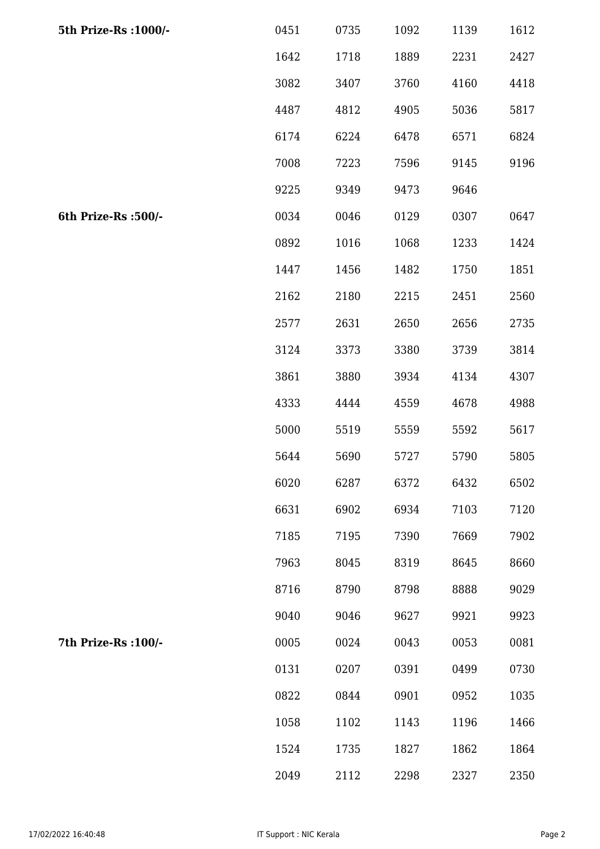| 5th Prize-Rs : 1000/- | 0451 | 0735 | 1092 | 1139 | 1612 |
|-----------------------|------|------|------|------|------|
|                       | 1642 | 1718 | 1889 | 2231 | 2427 |
|                       | 3082 | 3407 | 3760 | 4160 | 4418 |
|                       | 4487 | 4812 | 4905 | 5036 | 5817 |
|                       | 6174 | 6224 | 6478 | 6571 | 6824 |
|                       | 7008 | 7223 | 7596 | 9145 | 9196 |
|                       | 9225 | 9349 | 9473 | 9646 |      |
| 6th Prize-Rs :500/-   | 0034 | 0046 | 0129 | 0307 | 0647 |
|                       | 0892 | 1016 | 1068 | 1233 | 1424 |
|                       | 1447 | 1456 | 1482 | 1750 | 1851 |
|                       | 2162 | 2180 | 2215 | 2451 | 2560 |
|                       | 2577 | 2631 | 2650 | 2656 | 2735 |
|                       | 3124 | 3373 | 3380 | 3739 | 3814 |
|                       | 3861 | 3880 | 3934 | 4134 | 4307 |
|                       | 4333 | 4444 | 4559 | 4678 | 4988 |
|                       | 5000 | 5519 | 5559 | 5592 | 5617 |
|                       | 5644 | 5690 | 5727 | 5790 | 5805 |
|                       | 6020 | 6287 | 6372 | 6432 | 6502 |
|                       | 6631 | 6902 | 6934 | 7103 | 7120 |
|                       | 7185 | 7195 | 7390 | 7669 | 7902 |
|                       | 7963 | 8045 | 8319 | 8645 | 8660 |
|                       | 8716 | 8790 | 8798 | 8888 | 9029 |
|                       | 9040 | 9046 | 9627 | 9921 | 9923 |
| 7th Prize-Rs : 100/-  | 0005 | 0024 | 0043 | 0053 | 0081 |
|                       | 0131 | 0207 | 0391 | 0499 | 0730 |
|                       | 0822 | 0844 | 0901 | 0952 | 1035 |
|                       | 1058 | 1102 | 1143 | 1196 | 1466 |
|                       | 1524 | 1735 | 1827 | 1862 | 1864 |
|                       | 2049 | 2112 | 2298 | 2327 | 2350 |